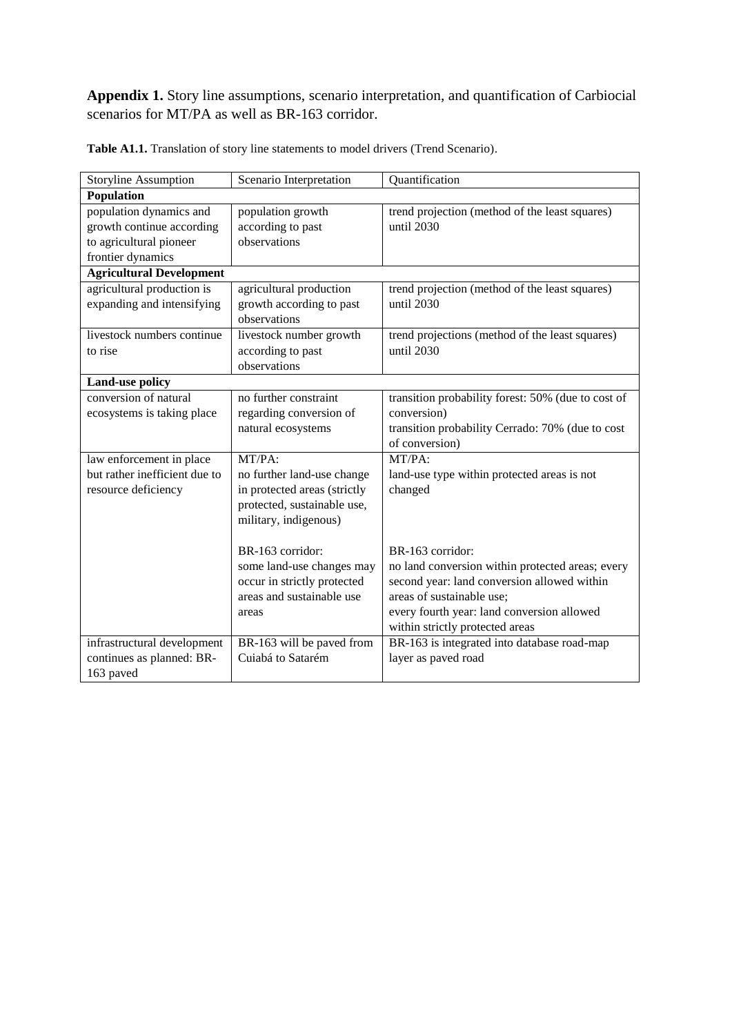**Appendix 1.** Story line assumptions, scenario interpretation, and quantification of Carbiocial scenarios for MT/PA as well as BR-163 corridor.

| <b>Storyline Assumption</b>                          | Scenario Interpretation                | Quantification                                               |  |  |  |  |
|------------------------------------------------------|----------------------------------------|--------------------------------------------------------------|--|--|--|--|
| Population                                           |                                        |                                                              |  |  |  |  |
| population dynamics and<br>growth continue according | population growth<br>according to past | trend projection (method of the least squares)<br>until 2030 |  |  |  |  |
| to agricultural pioneer                              | observations                           |                                                              |  |  |  |  |
| frontier dynamics                                    |                                        |                                                              |  |  |  |  |
| <b>Agricultural Development</b>                      |                                        |                                                              |  |  |  |  |
| agricultural production is                           | agricultural production                | trend projection (method of the least squares)               |  |  |  |  |
| expanding and intensifying                           | growth according to past               | until 2030                                                   |  |  |  |  |
|                                                      | observations                           |                                                              |  |  |  |  |
| livestock numbers continue                           | livestock number growth                | trend projections (method of the least squares)              |  |  |  |  |
| to rise                                              | according to past                      | until 2030                                                   |  |  |  |  |
|                                                      | observations                           |                                                              |  |  |  |  |
| <b>Land-use policy</b>                               |                                        |                                                              |  |  |  |  |
| conversion of natural                                | no further constraint                  | transition probability forest: 50% (due to cost of           |  |  |  |  |
| ecosystems is taking place                           | regarding conversion of                | conversion)                                                  |  |  |  |  |
|                                                      | natural ecosystems                     | transition probability Cerrado: 70% (due to cost             |  |  |  |  |
|                                                      |                                        | of conversion)                                               |  |  |  |  |
| law enforcement in place                             | MT/PA:                                 | $MT/PA$ :                                                    |  |  |  |  |
| but rather inefficient due to                        | no further land-use change             | land-use type within protected areas is not                  |  |  |  |  |
| resource deficiency                                  | in protected areas (strictly           | changed                                                      |  |  |  |  |
|                                                      | protected, sustainable use,            |                                                              |  |  |  |  |
|                                                      | military, indigenous)                  |                                                              |  |  |  |  |
|                                                      |                                        |                                                              |  |  |  |  |
|                                                      | BR-163 corridor:                       | BR-163 corridor:                                             |  |  |  |  |
|                                                      | some land-use changes may              | no land conversion within protected areas; every             |  |  |  |  |
|                                                      | occur in strictly protected            | second year: land conversion allowed within                  |  |  |  |  |
|                                                      | areas and sustainable use              | areas of sustainable use;                                    |  |  |  |  |
|                                                      | areas                                  | every fourth year: land conversion allowed                   |  |  |  |  |
|                                                      |                                        | within strictly protected areas                              |  |  |  |  |
| infrastructural development                          | BR-163 will be paved from              | BR-163 is integrated into database road-map                  |  |  |  |  |
| continues as planned: BR-                            | Cuiabá to Satarém                      | layer as paved road                                          |  |  |  |  |
| 163 paved                                            |                                        |                                                              |  |  |  |  |

Table A1.1. Translation of story line statements to model drivers (Trend Scenario).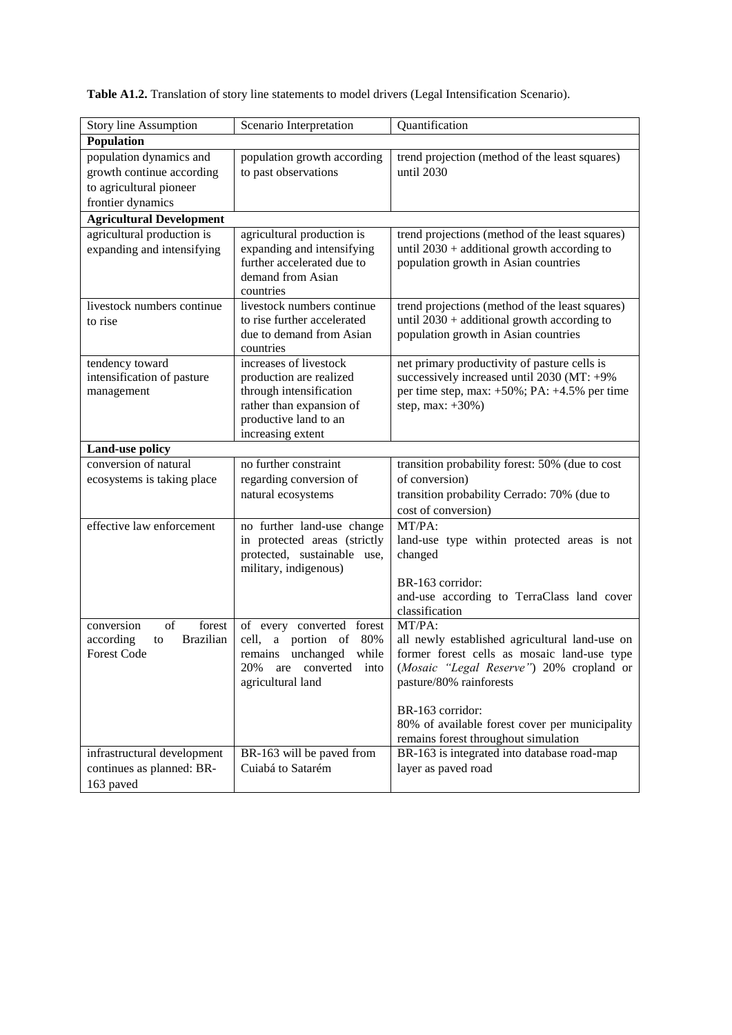**Table A1.2.** Translation of story line statements to model drivers (Legal Intensification Scenario).

| Story line Assumption                    | Scenario Interpretation                           | Quantification                                                      |  |  |
|------------------------------------------|---------------------------------------------------|---------------------------------------------------------------------|--|--|
| Population                               |                                                   |                                                                     |  |  |
| population dynamics and                  | population growth according                       | trend projection (method of the least squares)                      |  |  |
| growth continue according                | to past observations                              | until 2030                                                          |  |  |
| to agricultural pioneer                  |                                                   |                                                                     |  |  |
| frontier dynamics                        |                                                   |                                                                     |  |  |
| <b>Agricultural Development</b>          |                                                   |                                                                     |  |  |
| agricultural production is               | agricultural production is                        | trend projections (method of the least squares)                     |  |  |
| expanding and intensifying               | expanding and intensifying                        | until $2030 +$ additional growth according to                       |  |  |
|                                          | further accelerated due to                        | population growth in Asian countries                                |  |  |
|                                          | demand from Asian<br>countries                    |                                                                     |  |  |
| livestock numbers continue               | livestock numbers continue                        | trend projections (method of the least squares)                     |  |  |
| to rise                                  | to rise further accelerated                       | until $2030 +$ additional growth according to                       |  |  |
|                                          | due to demand from Asian                          | population growth in Asian countries                                |  |  |
|                                          | countries                                         |                                                                     |  |  |
| tendency toward                          | increases of livestock                            | net primary productivity of pasture cells is                        |  |  |
| intensification of pasture               | production are realized                           | successively increased until 2030 (MT: +9%                          |  |  |
| management                               | through intensification                           | per time step, max: $+50\%$ ; PA: $+4.5\%$ per time                 |  |  |
|                                          | rather than expansion of                          | step, max: $+30\%$ )                                                |  |  |
|                                          | productive land to an                             |                                                                     |  |  |
|                                          | increasing extent                                 |                                                                     |  |  |
| Land-use policy<br>conversion of natural | no further constraint                             | transition probability forest: 50% (due to cost                     |  |  |
|                                          | regarding conversion of                           | of conversion)                                                      |  |  |
| ecosystems is taking place               | natural ecosystems                                | transition probability Cerrado: 70% (due to                         |  |  |
|                                          |                                                   | cost of conversion)                                                 |  |  |
| effective law enforcement                | no further land-use change                        | MT/PA:                                                              |  |  |
|                                          | in protected areas (strictly                      | land-use type within protected areas is not                         |  |  |
|                                          | protected, sustainable use,                       | changed                                                             |  |  |
|                                          | military, indigenous)                             |                                                                     |  |  |
|                                          |                                                   | BR-163 corridor:                                                    |  |  |
|                                          |                                                   | and-use according to TerraClass land cover                          |  |  |
|                                          |                                                   | classification                                                      |  |  |
| of<br>forest<br>conversion               | of every converted<br>forest                      | MT/PA:                                                              |  |  |
| <b>Brazilian</b><br>according<br>to      | portion of<br>80%<br>cell,<br>$\mathbf{a}$        | all newly established agricultural land-use on                      |  |  |
| <b>Forest Code</b>                       | remains unchanged<br>while                        | former forest cells as mosaic land-use type                         |  |  |
|                                          | 20%<br>are converted<br>into<br>agricultural land | (Mosaic "Legal Reserve") 20% cropland or<br>pasture/80% rainforests |  |  |
|                                          |                                                   |                                                                     |  |  |
|                                          |                                                   | BR-163 corridor:                                                    |  |  |
|                                          |                                                   | 80% of available forest cover per municipality                      |  |  |
|                                          |                                                   | remains forest throughout simulation                                |  |  |
| infrastructural development              | BR-163 will be paved from                         | BR-163 is integrated into database road-map                         |  |  |
| continues as planned: BR-                | Cuiabá to Satarém                                 | layer as paved road                                                 |  |  |
| 163 paved                                |                                                   |                                                                     |  |  |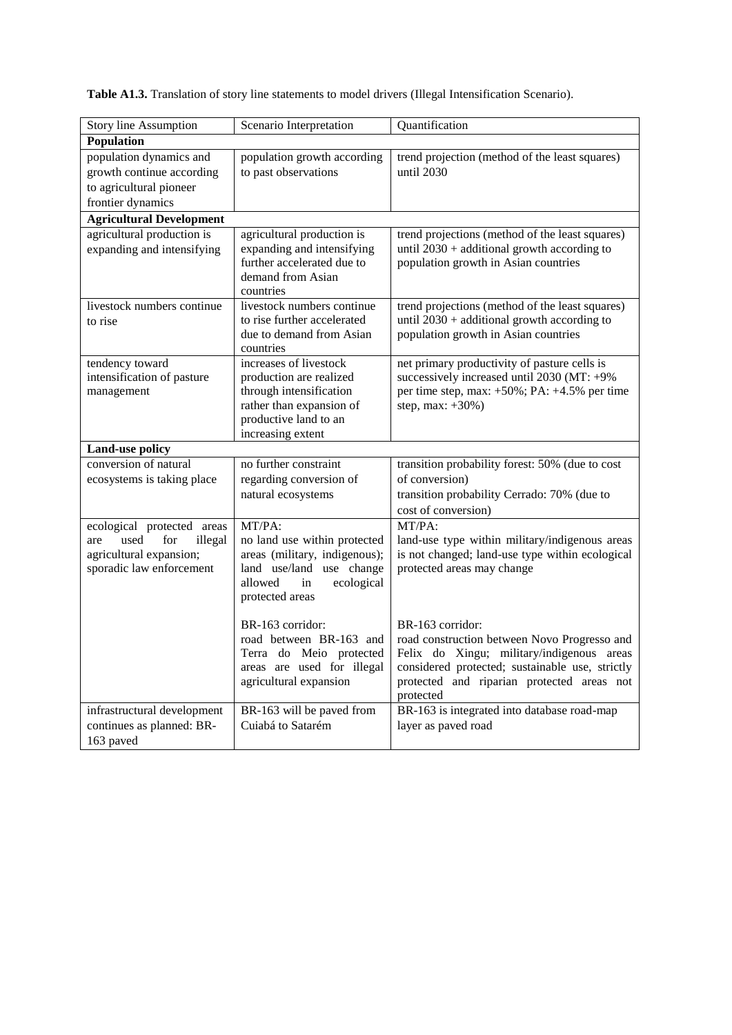**Table A1.3.** Translation of story line statements to model drivers (Illegal Intensification Scenario).

| Story line Assumption                                                                                              | Scenario Interpretation                                                                                                                                | Quantification                                                                                                                                                                                                              |  |  |  |  |  |
|--------------------------------------------------------------------------------------------------------------------|--------------------------------------------------------------------------------------------------------------------------------------------------------|-----------------------------------------------------------------------------------------------------------------------------------------------------------------------------------------------------------------------------|--|--|--|--|--|
| Population                                                                                                         |                                                                                                                                                        |                                                                                                                                                                                                                             |  |  |  |  |  |
| population dynamics and<br>growth continue according<br>to agricultural pioneer<br>frontier dynamics               | population growth according<br>to past observations                                                                                                    | trend projection (method of the least squares)<br>until 2030                                                                                                                                                                |  |  |  |  |  |
| <b>Agricultural Development</b>                                                                                    |                                                                                                                                                        |                                                                                                                                                                                                                             |  |  |  |  |  |
| agricultural production is<br>expanding and intensifying                                                           | agricultural production is<br>expanding and intensifying<br>further accelerated due to<br>demand from Asian<br>countries                               | trend projections (method of the least squares)<br>until $2030 +$ additional growth according to<br>population growth in Asian countries                                                                                    |  |  |  |  |  |
| livestock numbers continue<br>to rise                                                                              | livestock numbers continue<br>to rise further accelerated<br>due to demand from Asian<br>countries                                                     | trend projections (method of the least squares)<br>until $2030 +$ additional growth according to<br>population growth in Asian countries                                                                                    |  |  |  |  |  |
| tendency toward<br>intensification of pasture<br>management                                                        | increases of livestock<br>production are realized<br>through intensification<br>rather than expansion of<br>productive land to an<br>increasing extent | net primary productivity of pasture cells is<br>successively increased until 2030 (MT: +9%<br>per time step, max: +50%; PA: +4.5% per time<br>step, max: +30%)                                                              |  |  |  |  |  |
| Land-use policy                                                                                                    |                                                                                                                                                        |                                                                                                                                                                                                                             |  |  |  |  |  |
| conversion of natural<br>ecosystems is taking place                                                                | no further constraint<br>regarding conversion of<br>natural ecosystems                                                                                 | transition probability forest: 50% (due to cost<br>of conversion)<br>transition probability Cerrado: 70% (due to<br>cost of conversion)                                                                                     |  |  |  |  |  |
| ecological protected areas<br>for<br>illegal<br>used<br>are<br>agricultural expansion;<br>sporadic law enforcement | MT/PA:<br>no land use within protected<br>areas (military, indigenous);<br>land use/land use change<br>allowed<br>ecological<br>in<br>protected areas  | MT/PA:<br>land-use type within military/indigenous areas<br>is not changed; land-use type within ecological<br>protected areas may change                                                                                   |  |  |  |  |  |
|                                                                                                                    | BR-163 corridor:<br>road between BR-163 and<br>Terra do Meio protected<br>areas are used for illegal<br>agricultural expansion                         | BR-163 corridor:<br>road construction between Novo Progresso and<br>Felix do Xingu; military/indigenous areas<br>considered protected; sustainable use, strictly<br>protected and riparian protected areas not<br>protected |  |  |  |  |  |
| infrastructural development<br>continues as planned: BR-<br>163 paved                                              | BR-163 will be paved from<br>Cuiabá to Satarém                                                                                                         | BR-163 is integrated into database road-map<br>layer as paved road                                                                                                                                                          |  |  |  |  |  |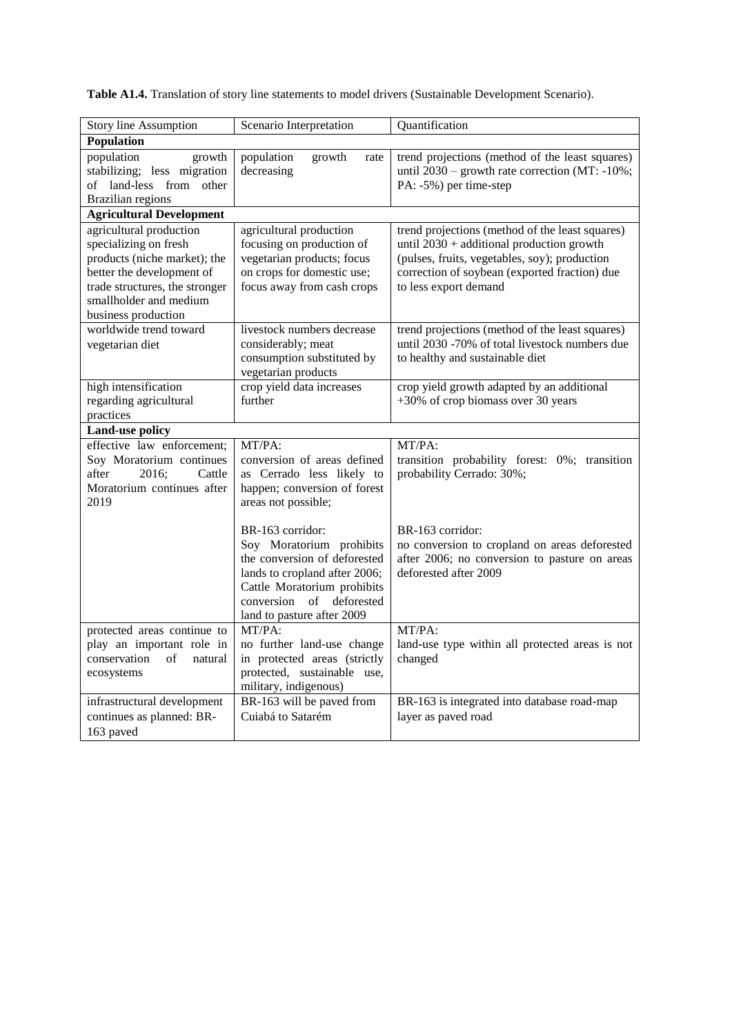| <b>Table A1.4.</b> Translation of story line statements to model drivers (Sustainable Development Scenario). |  |  |  |
|--------------------------------------------------------------------------------------------------------------|--|--|--|
|--------------------------------------------------------------------------------------------------------------|--|--|--|

| Story line Assumption<br>Scenario Interpretation                                                                                                                                                 |                                                                                                                                                                                                              | Quantification                                                                                                                                                                                                          |  |  |  |
|--------------------------------------------------------------------------------------------------------------------------------------------------------------------------------------------------|--------------------------------------------------------------------------------------------------------------------------------------------------------------------------------------------------------------|-------------------------------------------------------------------------------------------------------------------------------------------------------------------------------------------------------------------------|--|--|--|
| Population                                                                                                                                                                                       |                                                                                                                                                                                                              |                                                                                                                                                                                                                         |  |  |  |
| population<br>growth<br>stabilizing; less migration<br>of land-less from other<br><b>Brazilian regions</b>                                                                                       | population<br>growth<br>rate<br>decreasing                                                                                                                                                                   | trend projections (method of the least squares)<br>until $2030$ – growth rate correction (MT: -10%;<br>PA: -5%) per time-step                                                                                           |  |  |  |
| <b>Agricultural Development</b>                                                                                                                                                                  |                                                                                                                                                                                                              |                                                                                                                                                                                                                         |  |  |  |
| agricultural production<br>specializing on fresh<br>products (niche market); the<br>better the development of<br>trade structures, the stronger<br>smallholder and medium<br>business production | agricultural production<br>focusing on production of<br>vegetarian products; focus<br>on crops for domestic use;<br>focus away from cash crops                                                               | trend projections (method of the least squares)<br>until 2030 + additional production growth<br>(pulses, fruits, vegetables, soy); production<br>correction of soybean (exported fraction) due<br>to less export demand |  |  |  |
| worldwide trend toward<br>vegetarian diet                                                                                                                                                        | livestock numbers decrease<br>considerably; meat<br>consumption substituted by<br>vegetarian products                                                                                                        | trend projections (method of the least squares)<br>until 2030 -70% of total livestock numbers due<br>to healthy and sustainable diet                                                                                    |  |  |  |
| high intensification<br>regarding agricultural<br>practices                                                                                                                                      | crop yield data increases<br>further                                                                                                                                                                         | crop yield growth adapted by an additional<br>+30% of crop biomass over 30 years                                                                                                                                        |  |  |  |
| <b>Land-use policy</b>                                                                                                                                                                           |                                                                                                                                                                                                              |                                                                                                                                                                                                                         |  |  |  |
| effective law enforcement;<br>Soy Moratorium continues<br>2016;<br>after<br>Cattle<br>Moratorium continues after<br>2019                                                                         | MT/PA:<br>conversion of areas defined<br>as Cerrado less likely to<br>happen; conversion of forest<br>areas not possible;                                                                                    | MT/PA:<br>transition probability forest: 0%; transition<br>probability Cerrado: 30%;                                                                                                                                    |  |  |  |
|                                                                                                                                                                                                  | BR-163 corridor:<br>Soy Moratorium prohibits<br>the conversion of deforested<br>lands to cropland after 2006;<br>Cattle Moratorium prohibits<br>deforested<br>conversion<br>of<br>land to pasture after 2009 | BR-163 corridor:<br>no conversion to cropland on areas deforested<br>after 2006; no conversion to pasture on areas<br>deforested after 2009                                                                             |  |  |  |
| protected areas continue to<br>play an important role in<br>conservation<br>$\sigma$ f<br>natural<br>ecosystems                                                                                  | MT/PA:<br>no further land-use change<br>in protected areas (strictly<br>protected, sustainable use,<br>military, indigenous)                                                                                 | MT/PA:<br>land-use type within all protected areas is not<br>changed                                                                                                                                                    |  |  |  |
| infrastructural development<br>continues as planned: BR-<br>163 paved                                                                                                                            | BR-163 will be paved from<br>Cuiabá to Satarém                                                                                                                                                               | BR-163 is integrated into database road-map<br>layer as paved road                                                                                                                                                      |  |  |  |